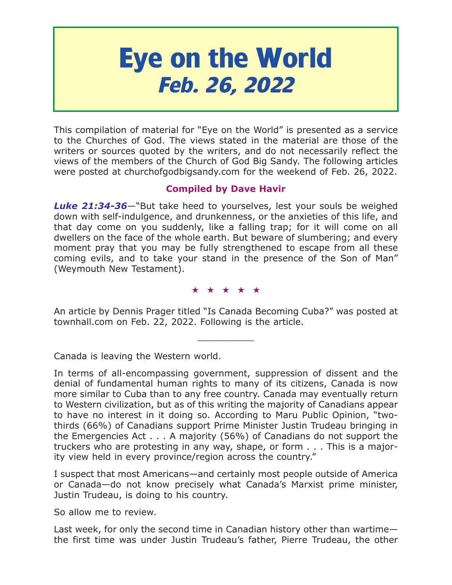# **Eye on the World Feb. 26, 2022**

This compilation of material for "Eye on the World" is presented as a service to the Churches of God. The views stated in the material are those of the writers or sources quoted by the writers, and do not necessarily reflect the views of the members of the Church of God Big Sandy. The following articles were posted at churchofgodbigsandy.com for the weekend of Feb. 26, 2022.

## **Compiled by Dave Havir**

*Luke 21:34-36*—"But take heed to yourselves, lest your souls be weighed down with self-indulgence, and drunkenness, or the anxieties of this life, and that day come on you suddenly, like a falling trap; for it will come on all dwellers on the face of the whole earth. But beware of slumbering; and every moment pray that you may be fully strengthened to escape from all these coming evils, and to take your stand in the presence of the Son of Man" (Weymouth New Testament).

## ★★★★★

An article by Dennis Prager titled "Is Canada Becoming Cuba?" was posted at townhall.com on Feb. 22, 2022. Following is the article.

 $\overline{\phantom{a}}$  , where  $\overline{\phantom{a}}$ 

Canada is leaving the Western world.

In terms of all-encompassing government, suppression of dissent and the denial of fundamental human rights to many of its citizens, Canada is now more similar to Cuba than to any free country. Canada may eventually return to Western civilization, but as of this writing the majority of Canadians appear to have no interest in it doing so. According to Maru Public Opinion, "twothirds (66%) of Canadians support Prime Minister Justin Trudeau bringing in the Emergencies Act . . . A majority (56%) of Canadians do not support the truckers who are protesting in any way, shape, or form . . . This is a majority view held in every province/region across the country."

I suspect that most Americans—and certainly most people outside of America or Canada—do not know precisely what Canada's Marxist prime minister, Justin Trudeau, is doing to his country.

So allow me to review.

Last week, for only the second time in Canadian history other than wartime the first time was under Justin Trudeau's father, Pierre Trudeau, the other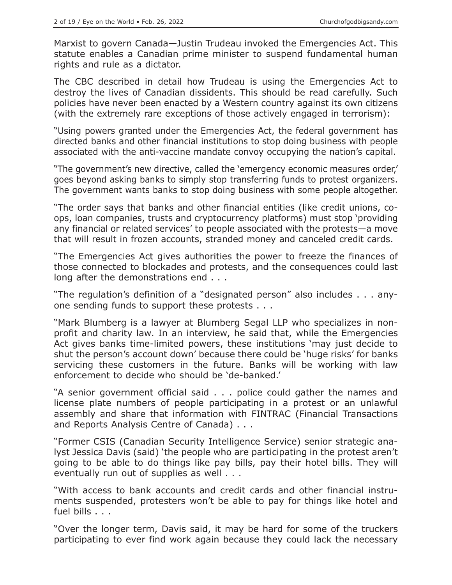Marxist to govern Canada—Justin Trudeau invoked the Emergencies Act. This statute enables a Canadian prime minister to suspend fundamental human rights and rule as a dictator.

The CBC described in detail how Trudeau is using the Emergencies Act to destroy the lives of Canadian dissidents. This should be read carefully. Such policies have never been enacted by a Western country against its own citizens (with the extremely rare exceptions of those actively engaged in terrorism):

"Using powers granted under the Emergencies Act, the federal government has directed banks and other financial institutions to stop doing business with people associated with the anti-vaccine mandate convoy occupying the nation's capital.

"The government's new directive, called the 'emergency economic measures order,' goes beyond asking banks to simply stop transferring funds to protest organizers. The government wants banks to stop doing business with some people altogether.

"The order says that banks and other financial entities (like credit unions, coops, loan companies, trusts and cryptocurrency platforms) must stop 'providing any financial or related services' to people associated with the protests—a move that will result in frozen accounts, stranded money and canceled credit cards.

"The Emergencies Act gives authorities the power to freeze the finances of those connected to blockades and protests, and the consequences could last long after the demonstrations end . . .

"The regulation's definition of a "designated person" also includes . . . anyone sending funds to support these protests . . .

"Mark Blumberg is a lawyer at Blumberg Segal LLP who specializes in nonprofit and charity law. In an interview, he said that, while the Emergencies Act gives banks time-limited powers, these institutions 'may just decide to shut the person's account down' because there could be 'huge risks' for banks servicing these customers in the future. Banks will be working with law enforcement to decide who should be 'de-banked.'

"A senior government official said . . . police could gather the names and license plate numbers of people participating in a protest or an unlawful assembly and share that information with FINTRAC (Financial Transactions and Reports Analysis Centre of Canada) . . .

"Former CSIS (Canadian Security Intelligence Service) senior strategic analyst Jessica Davis (said) 'the people who are participating in the protest aren't going to be able to do things like pay bills, pay their hotel bills. They will eventually run out of supplies as well . . .

"With access to bank accounts and credit cards and other financial instruments suspended, protesters won't be able to pay for things like hotel and fuel bills . . .

"Over the longer term, Davis said, it may be hard for some of the truckers participating to ever find work again because they could lack the necessary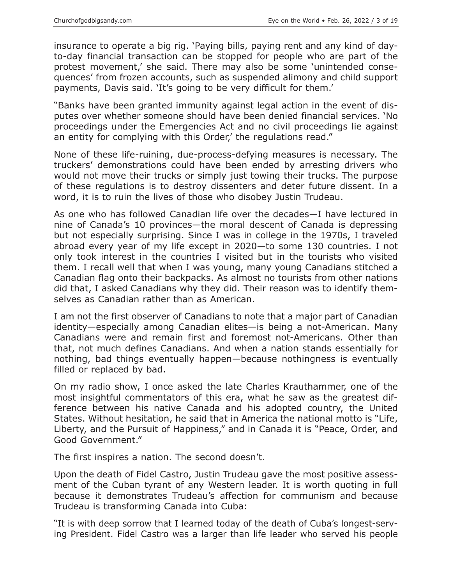insurance to operate a big rig. 'Paying bills, paying rent and any kind of dayto-day financial transaction can be stopped for people who are part of the protest movement,' she said. There may also be some 'unintended consequences' from frozen accounts, such as suspended alimony and child support payments, Davis said. 'It's going to be very difficult for them.'

"Banks have been granted immunity against legal action in the event of disputes over whether someone should have been denied financial services. 'No proceedings under the Emergencies Act and no civil proceedings lie against an entity for complying with this Order,' the regulations read."

None of these life-ruining, due-process-defying measures is necessary. The truckers' demonstrations could have been ended by arresting drivers who would not move their trucks or simply just towing their trucks. The purpose of these regulations is to destroy dissenters and deter future dissent. In a word, it is to ruin the lives of those who disobey Justin Trudeau.

As one who has followed Canadian life over the decades—I have lectured in nine of Canada's 10 provinces—the moral descent of Canada is depressing but not especially surprising. Since I was in college in the 1970s, I traveled abroad every year of my life except in 2020—to some 130 countries. I not only took interest in the countries I visited but in the tourists who visited them. I recall well that when I was young, many young Canadians stitched a Canadian flag onto their backpacks. As almost no tourists from other nations did that, I asked Canadians why they did. Their reason was to identify themselves as Canadian rather than as American.

I am not the first observer of Canadians to note that a major part of Canadian identity—especially among Canadian elites—is being a not-American. Many Canadians were and remain first and foremost not-Americans. Other than that, not much defines Canadians. And when a nation stands essentially for nothing, bad things eventually happen—because nothingness is eventually filled or replaced by bad.

On my radio show, I once asked the late Charles Krauthammer, one of the most insightful commentators of this era, what he saw as the greatest difference between his native Canada and his adopted country, the United States. Without hesitation, he said that in America the national motto is "Life, Liberty, and the Pursuit of Happiness," and in Canada it is "Peace, Order, and Good Government."

The first inspires a nation. The second doesn't.

Upon the death of Fidel Castro, Justin Trudeau gave the most positive assessment of the Cuban tyrant of any Western leader. It is worth quoting in full because it demonstrates Trudeau's affection for communism and because Trudeau is transforming Canada into Cuba:

"It is with deep sorrow that I learned today of the death of Cuba's longest-serving President. Fidel Castro was a larger than life leader who served his people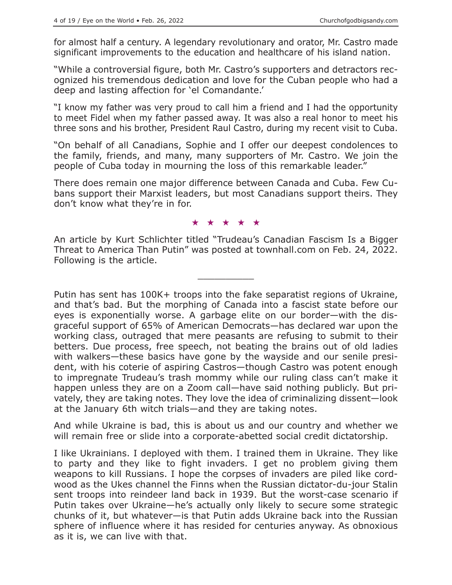for almost half a century. A legendary revolutionary and orator, Mr. Castro made significant improvements to the education and healthcare of his island nation.

"While a controversial figure, both Mr. Castro's supporters and detractors recognized his tremendous dedication and love for the Cuban people who had a deep and lasting affection for 'el Comandante.'

"I know my father was very proud to call him a friend and I had the opportunity to meet Fidel when my father passed away. It was also a real honor to meet his three sons and his brother, President Raul Castro, during my recent visit to Cuba.

"On behalf of all Canadians, Sophie and I offer our deepest condolences to the family, friends, and many, many supporters of Mr. Castro. We join the people of Cuba today in mourning the loss of this remarkable leader."

There does remain one major difference between Canada and Cuba. Few Cubans support their Marxist leaders, but most Canadians support theirs. They don't know what they're in for.

#### ★★★★★

An article by Kurt Schlichter titled "Trudeau's Canadian Fascism Is a Bigger Threat to America Than Putin" was posted at townhall.com on Feb. 24, 2022. Following is the article.

 $\overline{\phantom{a}}$  , where  $\overline{\phantom{a}}$ 

Putin has sent has 100K+ troops into the fake separatist regions of Ukraine, and that's bad. But the morphing of Canada into a fascist state before our eyes is exponentially worse. A garbage elite on our border—with the disgraceful support of 65% of American Democrats—has declared war upon the working class, outraged that mere peasants are refusing to submit to their betters. Due process, free speech, not beating the brains out of old ladies with walkers—these basics have gone by the wayside and our senile president, with his coterie of aspiring Castros—though Castro was potent enough to impregnate Trudeau's trash mommy while our ruling class can't make it happen unless they are on a Zoom call—have said nothing publicly. But privately, they are taking notes. They love the idea of criminalizing dissent—look at the January 6th witch trials—and they are taking notes.

And while Ukraine is bad, this is about us and our country and whether we will remain free or slide into a corporate-abetted social credit dictatorship.

I like Ukrainians. I deployed with them. I trained them in Ukraine. They like to party and they like to fight invaders. I get no problem giving them weapons to kill Russians. I hope the corpses of invaders are piled like cordwood as the Ukes channel the Finns when the Russian dictator-du-jour Stalin sent troops into reindeer land back in 1939. But the worst-case scenario if Putin takes over Ukraine—he's actually only likely to secure some strategic chunks of it, but whatever—is that Putin adds Ukraine back into the Russian sphere of influence where it has resided for centuries anyway. As obnoxious as it is, we can live with that.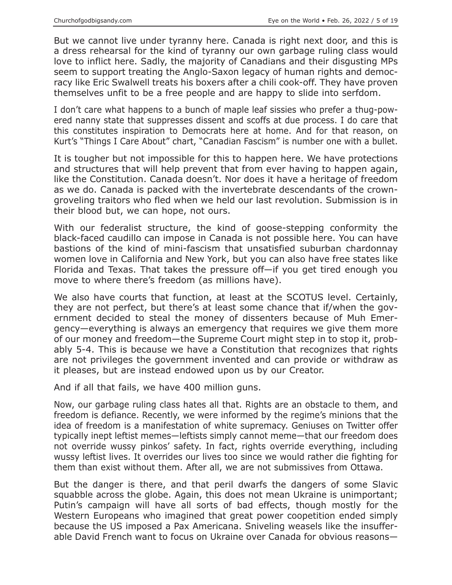But we cannot live under tyranny here. Canada is right next door, and this is a dress rehearsal for the kind of tyranny our own garbage ruling class would love to inflict here. Sadly, the majority of Canadians and their disgusting MPs seem to support treating the Anglo-Saxon legacy of human rights and democracy like Eric Swalwell treats his boxers after a chili cook-off. They have proven themselves unfit to be a free people and are happy to slide into serfdom.

I don't care what happens to a bunch of maple leaf sissies who prefer a thug-powered nanny state that suppresses dissent and scoffs at due process. I do care that this constitutes inspiration to Democrats here at home. And for that reason, on Kurt's "Things I Care About" chart, "Canadian Fascism" is number one with a bullet.

It is tougher but not impossible for this to happen here. We have protections and structures that will help prevent that from ever having to happen again, like the Constitution. Canada doesn't. Nor does it have a heritage of freedom as we do. Canada is packed with the invertebrate descendants of the crowngroveling traitors who fled when we held our last revolution. Submission is in their blood but, we can hope, not ours.

With our federalist structure, the kind of goose-stepping conformity the black-faced caudillo can impose in Canada is not possible here. You can have bastions of the kind of mini-fascism that unsatisfied suburban chardonnay women love in California and New York, but you can also have free states like Florida and Texas. That takes the pressure off—if you get tired enough you move to where there's freedom (as millions have).

We also have courts that function, at least at the SCOTUS level. Certainly, they are not perfect, but there's at least some chance that if/when the government decided to steal the money of dissenters because of Muh Emergency—everything is always an emergency that requires we give them more of our money and freedom—the Supreme Court might step in to stop it, probably 5-4. This is because we have a Constitution that recognizes that rights are not privileges the government invented and can provide or withdraw as it pleases, but are instead endowed upon us by our Creator.

And if all that fails, we have 400 million guns.

Now, our garbage ruling class hates all that. Rights are an obstacle to them, and freedom is defiance. Recently, we were informed by the regime's minions that the idea of freedom is a manifestation of white supremacy. Geniuses on Twitter offer typically inept leftist memes—leftists simply cannot meme—that our freedom does not override wussy pinkos' safety. In fact, rights override everything, including wussy leftist lives. It overrides our lives too since we would rather die fighting for them than exist without them. After all, we are not submissives from Ottawa.

But the danger is there, and that peril dwarfs the dangers of some Slavic squabble across the globe. Again, this does not mean Ukraine is unimportant; Putin's campaign will have all sorts of bad effects, though mostly for the Western Europeans who imagined that great power coopetition ended simply because the US imposed a Pax Americana. Sniveling weasels like the insufferable David French want to focus on Ukraine over Canada for obvious reasons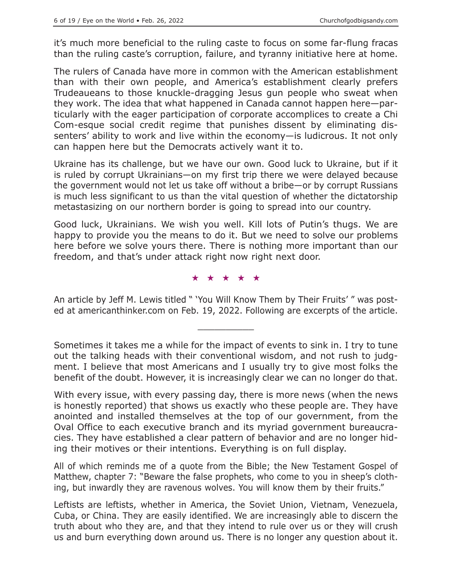it's much more beneficial to the ruling caste to focus on some far-flung fracas than the ruling caste's corruption, failure, and tyranny initiative here at home.

The rulers of Canada have more in common with the American establishment than with their own people, and America's establishment clearly prefers Trudeaueans to those knuckle-dragging Jesus gun people who sweat when they work. The idea that what happened in Canada cannot happen here—particularly with the eager participation of corporate accomplices to create a Chi Com-esque social credit regime that punishes dissent by eliminating dissenters' ability to work and live within the economy—is ludicrous. It not only can happen here but the Democrats actively want it to.

Ukraine has its challenge, but we have our own. Good luck to Ukraine, but if it is ruled by corrupt Ukrainians—on my first trip there we were delayed because the government would not let us take off without a bribe—or by corrupt Russians is much less significant to us than the vital question of whether the dictatorship metastasizing on our northern border is going to spread into our country.

Good luck, Ukrainians. We wish you well. Kill lots of Putin's thugs. We are happy to provide you the means to do it. But we need to solve our problems here before we solve yours there. There is nothing more important than our freedom, and that's under attack right now right next door.

★★★★★

An article by Jeff M. Lewis titled " 'You Will Know Them by Their Fruits' " was posted at americanthinker.com on Feb. 19, 2022. Following are excerpts of the article.

 $\overline{\phantom{a}}$  , where  $\overline{\phantom{a}}$ 

All of which reminds me of a quote from the Bible; the New Testament Gospel of Matthew, chapter 7: "Beware the false prophets, who come to you in sheep's clothing, but inwardly they are ravenous wolves. You will know them by their fruits."

Sometimes it takes me a while for the impact of events to sink in. I try to tune out the talking heads with their conventional wisdom, and not rush to judgment. I believe that most Americans and I usually try to give most folks the benefit of the doubt. However, it is increasingly clear we can no longer do that.

With every issue, with every passing day, there is more news (when the news is honestly reported) that shows us exactly who these people are. They have anointed and installed themselves at the top of our government, from the Oval Office to each executive branch and its myriad government bureaucracies. They have established a clear pattern of behavior and are no longer hiding their motives or their intentions. Everything is on full display.

Leftists are leftists, whether in America, the Soviet Union, Vietnam, Venezuela, Cuba, or China. They are easily identified. We are increasingly able to discern the truth about who they are, and that they intend to rule over us or they will crush us and burn everything down around us. There is no longer any question about it.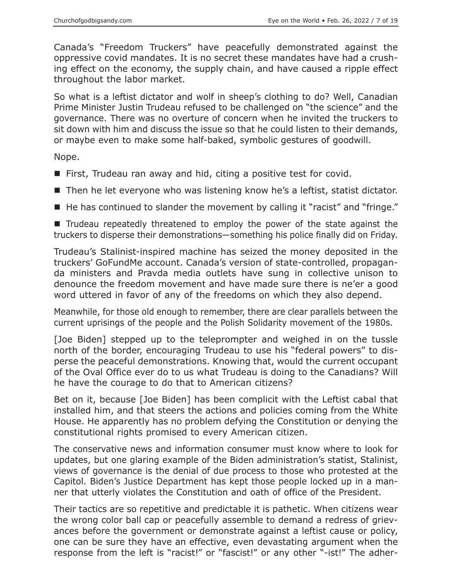Canada's "Freedom Truckers" have peacefully demonstrated against the oppressive covid mandates. It is no secret these mandates have had a crushing effect on the economy, the supply chain, and have caused a ripple effect throughout the labor market.

So what is a leftist dictator and wolf in sheep's clothing to do? Well, Canadian Prime Minister Justin Trudeau refused to be challenged on "the science" and the governance. There was no overture of concern when he invited the truckers to sit down with him and discuss the issue so that he could listen to their demands, or maybe even to make some half-baked, symbolic gestures of goodwill.

Nope.

- First, Trudeau ran away and hid, citing a positive test for covid.
- Then he let everyone who was listening know he's a leftist, statist dictator.
- $\blacksquare$  He has continued to slander the movement by calling it "racist" and "fringe."

■ Trudeau repeatedly threatened to employ the power of the state against the truckers to disperse their demonstrations—something his police finally did on Friday.

Trudeau's Stalinist-inspired machine has seized the money deposited in the truckers' GoFundMe account. Canada's version of state-controlled, propaganda ministers and Pravda media outlets have sung in collective unison to denounce the freedom movement and have made sure there is ne'er a good word uttered in favor of any of the freedoms on which they also depend.

Meanwhile, for those old enough to remember, there are clear parallels between the current uprisings of the people and the Polish Solidarity movement of the 1980s.

[Joe Biden] stepped up to the teleprompter and weighed in on the tussle north of the border, encouraging Trudeau to use his "federal powers" to disperse the peaceful demonstrations. Knowing that, would the current occupant of the Oval Office ever do to us what Trudeau is doing to the Canadians? Will he have the courage to do that to American citizens?

Bet on it, because [Joe Biden] has been complicit with the Leftist cabal that installed him, and that steers the actions and policies coming from the White House. He apparently has no problem defying the Constitution or denying the constitutional rights promised to every American citizen.

The conservative news and information consumer must know where to look for updates, but one glaring example of the Biden administration's statist, Stalinist, views of governance is the denial of due process to those who protested at the Capitol. Biden's Justice Department has kept those people locked up in a manner that utterly violates the Constitution and oath of office of the President.

Their tactics are so repetitive and predictable it is pathetic. When citizens wear the wrong color ball cap or peacefully assemble to demand a redress of grievances before the government or demonstrate against a leftist cause or policy, one can be sure they have an effective, even devastating argument when the response from the left is "racist!" or "fascist!" or any other "-ist!" The adher-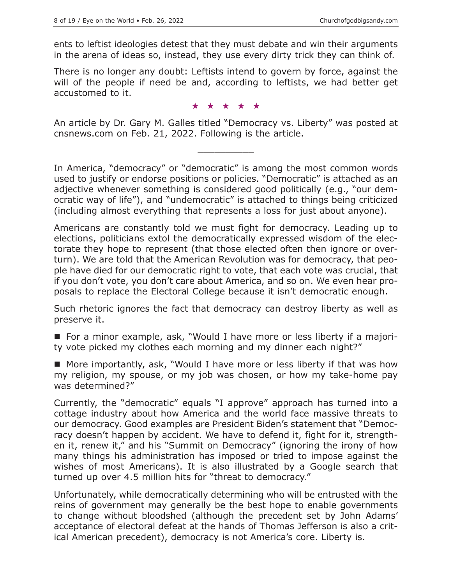ents to leftist ideologies detest that they must debate and win their arguments in the arena of ideas so, instead, they use every dirty trick they can think of.

There is no longer any doubt: Leftists intend to govern by force, against the will of the people if need be and, according to leftists, we had better get accustomed to it.

#### ★★★★★

An article by Dr. Gary M. Galles titled "Democracy vs. Liberty" was posted at cnsnews.com on Feb. 21, 2022. Following is the article.

 $\overline{\phantom{a}}$  , where  $\overline{\phantom{a}}$ 

In America, "democracy" or "democratic" is among the most common words used to justify or endorse positions or policies. "Democratic" is attached as an adjective whenever something is considered good politically (e.g., "our democratic way of life"), and "undemocratic" is attached to things being criticized (including almost everything that represents a loss for just about anyone).

Americans are constantly told we must fight for democracy. Leading up to elections, politicians extol the democratically expressed wisdom of the electorate they hope to represent (that those elected often then ignore or overturn). We are told that the American Revolution was for democracy, that people have died for our democratic right to vote, that each vote was crucial, that if you don't vote, you don't care about America, and so on. We even hear proposals to replace the Electoral College because it isn't democratic enough.

Such rhetoric ignores the fact that democracy can destroy liberty as well as preserve it.

■ For a minor example, ask, "Would I have more or less liberty if a majority vote picked my clothes each morning and my dinner each night?"

■ More importantly, ask, "Would I have more or less liberty if that was how my religion, my spouse, or my job was chosen, or how my take-home pay was determined?"

Currently, the "democratic" equals "I approve" approach has turned into a cottage industry about how America and the world face massive threats to our democracy. Good examples are President Biden's statement that "Democracy doesn't happen by accident. We have to defend it, fight for it, strengthen it, renew it," and his "Summit on Democracy" (ignoring the irony of how many things his administration has imposed or tried to impose against the wishes of most Americans). It is also illustrated by a Google search that turned up over 4.5 million hits for "threat to democracy."

Unfortunately, while democratically determining who will be entrusted with the reins of government may generally be the best hope to enable governments to change without bloodshed (although the precedent set by John Adams' acceptance of electoral defeat at the hands of Thomas Jefferson is also a critical American precedent), democracy is not America's core. Liberty is.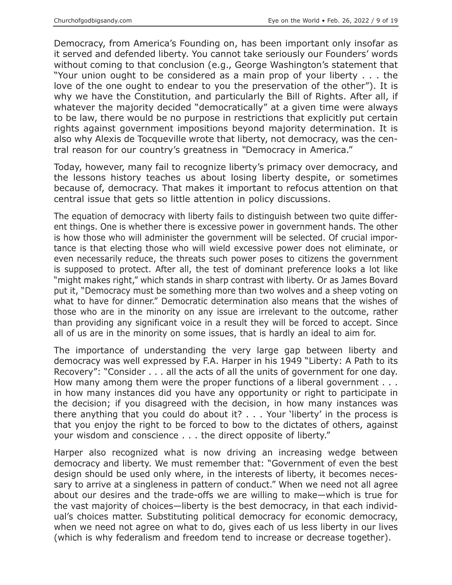Democracy, from America's Founding on, has been important only insofar as it served and defended liberty. You cannot take seriously our Founders' words without coming to that conclusion (e.g., George Washington's statement that "Your union ought to be considered as a main prop of your liberty . . . the love of the one ought to endear to you the preservation of the other"). It is why we have the Constitution, and particularly the Bill of Rights. After all, if whatever the majority decided "democratically" at a given time were always to be law, there would be no purpose in restrictions that explicitly put certain rights against government impositions beyond majority determination. It is also why Alexis de Tocqueville wrote that liberty, not democracy, was the central reason for our country's greatness in *"*Democracy in America."

Today, however, many fail to recognize liberty's primacy over democracy, and the lessons history teaches us about losing liberty despite, or sometimes because of, democracy. That makes it important to refocus attention on that central issue that gets so little attention in policy discussions.

The equation of democracy with liberty fails to distinguish between two quite different things. One is whether there is excessive power in government hands. The other is how those who will administer the government will be selected. Of crucial importance is that electing those who will wield excessive power does not eliminate, or even necessarily reduce, the threats such power poses to citizens the government is supposed to protect. After all, the test of dominant preference looks a lot like "might makes right," which stands in sharp contrast with liberty. Or as James Bovard put it, "Democracy must be something more than two wolves and a sheep voting on what to have for dinner." Democratic determination also means that the wishes of those who are in the minority on any issue are irrelevant to the outcome, rather than providing any significant voice in a result they will be forced to accept. Since all of us are in the minority on some issues, that is hardly an ideal to aim for.

The importance of understanding the very large gap between liberty and democracy was well expressed by F.A. Harper in his 1949 "Liberty: A Path to its Recovery": "Consider . . . all the acts of all the units of government for one day. How many among them were the proper functions of a liberal government . . . in how many instances did you have any opportunity or right to participate in the decision; if you disagreed with the decision, in how many instances was there anything that you could do about it? . . . Your 'liberty' in the process is that you enjoy the right to be forced to bow to the dictates of others, against your wisdom and conscience . . . the direct opposite of liberty."

Harper also recognized what is now driving an increasing wedge between democracy and liberty. We must remember that: "Government of even the best design should be used only where, in the interests of liberty, it becomes necessary to arrive at a singleness in pattern of conduct." When we need not all agree about our desires and the trade-offs we are willing to make—which is true for the vast majority of choices—liberty is the best democracy, in that each individual's choices matter. Substituting political democracy for economic democracy, when we need not agree on what to do, gives each of us less liberty in our lives (which is why federalism and freedom tend to increase or decrease together).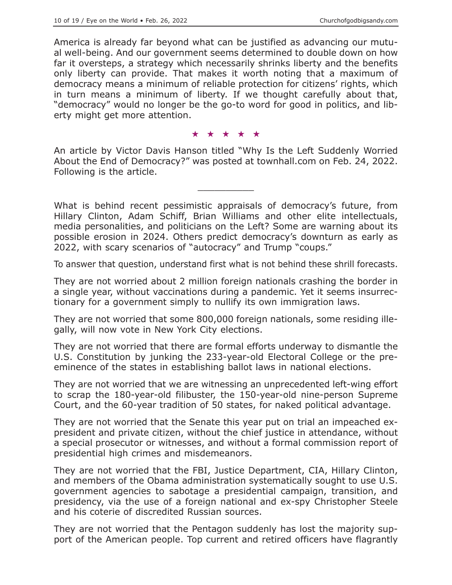America is already far beyond what can be justified as advancing our mutual well-being. And our government seems determined to double down on how far it oversteps, a strategy which necessarily shrinks liberty and the benefits only liberty can provide. That makes it worth noting that a maximum of democracy means a minimum of reliable protection for citizens' rights, which in turn means a minimum of liberty. If we thought carefully about that, "democracy" would no longer be the go-to word for good in politics, and liberty might get more attention.

#### ★★★★★

An article by Victor Davis Hanson titled "Why Is the Left Suddenly Worried About the End of Democracy?" was posted at townhall.com on Feb. 24, 2022. Following is the article.

 $\overline{\phantom{a}}$  , where  $\overline{\phantom{a}}$ 

What is behind recent pessimistic appraisals of democracy's future, from Hillary Clinton, Adam Schiff, Brian Williams and other elite intellectuals, media personalities, and politicians on the Left? Some are warning about its possible erosion in 2024. Others predict democracy's downturn as early as 2022, with scary scenarios of "autocracy" and Trump "coups."

To answer that question, understand first what is not behind these shrill forecasts.

They are not worried about 2 million foreign nationals crashing the border in a single year, without vaccinations during a pandemic. Yet it seems insurrectionary for a government simply to nullify its own immigration laws.

They are not worried that some 800,000 foreign nationals, some residing illegally, will now vote in New York City elections.

They are not worried that there are formal efforts underway to dismantle the U.S. Constitution by junking the 233-year-old Electoral College or the preeminence of the states in establishing ballot laws in national elections.

They are not worried that we are witnessing an unprecedented left-wing effort to scrap the 180-year-old filibuster, the 150-year-old nine-person Supreme Court, and the 60-year tradition of 50 states, for naked political advantage.

They are not worried that the Senate this year put on trial an impeached expresident and private citizen, without the chief justice in attendance, without a special prosecutor or witnesses, and without a formal commission report of presidential high crimes and misdemeanors.

They are not worried that the FBI, Justice Department, CIA, Hillary Clinton, and members of the Obama administration systematically sought to use U.S. government agencies to sabotage a presidential campaign, transition, and presidency, via the use of a foreign national and ex-spy Christopher Steele and his coterie of discredited Russian sources.

They are not worried that the Pentagon suddenly has lost the majority support of the American people. Top current and retired officers have flagrantly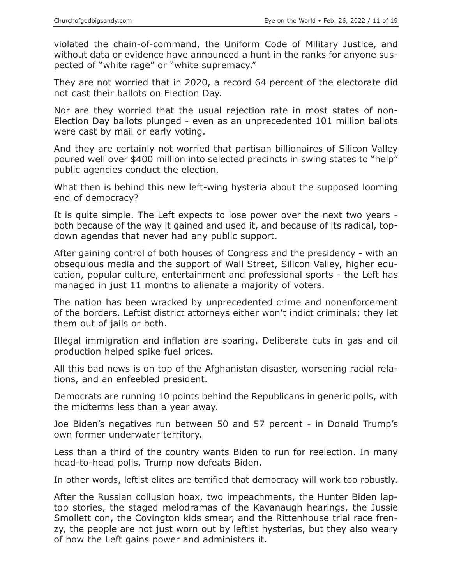violated the chain-of-command, the Uniform Code of Military Justice, and without data or evidence have announced a hunt in the ranks for anyone suspected of "white rage" or "white supremacy."

They are not worried that in 2020, a record 64 percent of the electorate did not cast their ballots on Election Day.

Nor are they worried that the usual rejection rate in most states of non-Election Day ballots plunged - even as an unprecedented 101 million ballots were cast by mail or early voting.

And they are certainly not worried that partisan billionaires of Silicon Valley poured well over \$400 million into selected precincts in swing states to "help" public agencies conduct the election.

What then is behind this new left-wing hysteria about the supposed looming end of democracy?

It is quite simple. The Left expects to lose power over the next two years both because of the way it gained and used it, and because of its radical, topdown agendas that never had any public support.

After gaining control of both houses of Congress and the presidency - with an obsequious media and the support of Wall Street, Silicon Valley, higher education, popular culture, entertainment and professional sports - the Left has managed in just 11 months to alienate a majority of voters.

The nation has been wracked by unprecedented crime and nonenforcement of the borders. Leftist district attorneys either won't indict criminals; they let them out of jails or both.

Illegal immigration and inflation are soaring. Deliberate cuts in gas and oil production helped spike fuel prices.

All this bad news is on top of the Afghanistan disaster, worsening racial relations, and an enfeebled president.

Democrats are running 10 points behind the Republicans in generic polls, with the midterms less than a year away.

Joe Biden's negatives run between 50 and 57 percent - in Donald Trump's own former underwater territory.

Less than a third of the country wants Biden to run for reelection. In many head-to-head polls, Trump now defeats Biden.

In other words, leftist elites are terrified that democracy will work too robustly.

After the Russian collusion hoax, two impeachments, the Hunter Biden laptop stories, the staged melodramas of the Kavanaugh hearings, the Jussie Smollett con, the Covington kids smear, and the Rittenhouse trial race frenzy, the people are not just worn out by leftist hysterias, but they also weary of how the Left gains power and administers it.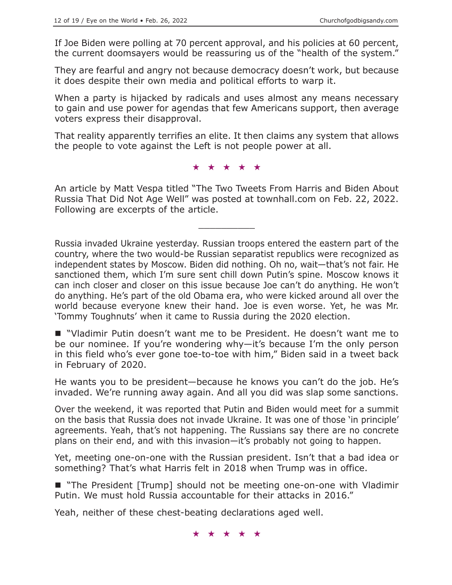If Joe Biden were polling at 70 percent approval, and his policies at 60 percent, the current doomsayers would be reassuring us of the "health of the system."

They are fearful and angry not because democracy doesn't work, but because it does despite their own media and political efforts to warp it.

When a party is hijacked by radicals and uses almost any means necessary to gain and use power for agendas that few Americans support, then average voters express their disapproval.

That reality apparently terrifies an elite. It then claims any system that allows the people to vote against the Left is not people power at all.

### ★★★★★

An article by Matt Vespa titled "The Two Tweets From Harris and Biden About Russia That Did Not Age Well" was posted at townhall.com on Feb. 22, 2022. Following are excerpts of the article.

 $\overline{\phantom{a}}$  , where  $\overline{\phantom{a}}$ 

Russia invaded Ukraine yesterday. Russian troops entered the eastern part of the country, where the two would-be Russian separatist republics were recognized as independent states by Moscow. Biden did nothing. Oh no, wait—that's not fair. He sanctioned them, which I'm sure sent chill down Putin's spine. Moscow knows it can inch closer and closer on this issue because Joe can't do anything. He won't do anything. He's part of the old Obama era, who were kicked around all over the world because everyone knew their hand. Joe is even worse. Yet, he was Mr. 'Tommy Toughnuts' when it came to Russia during the 2020 election.

 "Vladimir Putin doesn't want me to be President. He doesn't want me to be our nominee. If you're wondering why—it's because I'm the only person in this field who's ever gone toe-to-toe with him," Biden said in a tweet back in February of 2020.

He wants you to be president—because he knows you can't do the job. He's invaded. We're running away again. And all you did was slap some sanctions.

Over the weekend, it was reported that Putin and Biden would meet for a summit on the basis that Russia does not invade Ukraine. It was one of those 'in principle' agreements. Yeah, that's not happening. The Russians say there are no concrete plans on their end, and with this invasion—it's probably not going to happen.

Yet, meeting one-on-one with the Russian president. Isn't that a bad idea or something? That's what Harris felt in 2018 when Trump was in office.

■ "The President [Trump] should not be meeting one-on-one with Vladimir Putin. We must hold Russia accountable for their attacks in 2016."

Yeah, neither of these chest-beating declarations aged well.

★★★★★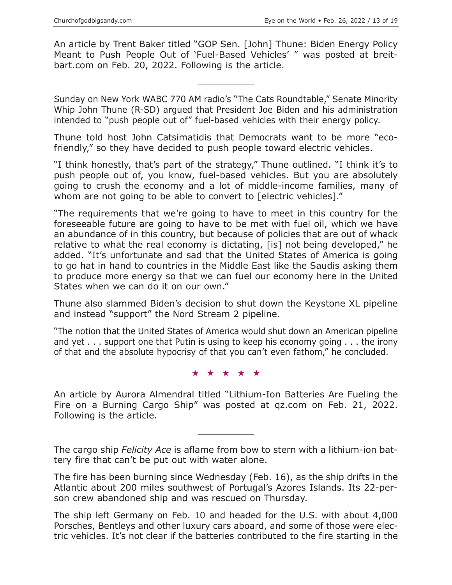An article by Trent Baker titled "GOP Sen. [John] Thune: Biden Energy Policy Meant to Push People Out of 'Fuel-Based Vehicles' " was posted at breitbart.com on Feb. 20, 2022. Following is the article.

 $\overline{\phantom{a}}$  , where  $\overline{\phantom{a}}$ 

Sunday on New York WABC 770 AM radio's "The Cats Roundtable," Senate Minority Whip John Thune (R-SD) argued that President Joe Biden and his administration intended to "push people out of" fuel-based vehicles with their energy policy.

Thune told host John Catsimatidis that Democrats want to be more "ecofriendly," so they have decided to push people toward electric vehicles.

"I think honestly, that's part of the strategy," Thune outlined. "I think it's to push people out of, you know, fuel-based vehicles. But you are absolutely going to crush the economy and a lot of middle-income families, many of whom are not going to be able to convert to [electric vehicles]."

"The requirements that we're going to have to meet in this country for the foreseeable future are going to have to be met with fuel oil, which we have an abundance of in this country, but because of policies that are out of whack relative to what the real economy is dictating, [is] not being developed," he added. "It's unfortunate and sad that the United States of America is going to go hat in hand to countries in the Middle East like the Saudis asking them to produce more energy so that we can fuel our economy here in the United States when we can do it on our own."

Thune also slammed Biden's decision to shut down the Keystone XL pipeline and instead "support" the Nord Stream 2 pipeline.

"The notion that the United States of America would shut down an American pipeline and yet . . . support one that Putin is using to keep his economy going . . . the irony of that and the absolute hypocrisy of that you can't even fathom," he concluded.

★★★★★

An article by Aurora Almendral titled "Lithium-Ion Batteries Are Fueling the Fire on a Burning Cargo Ship" was posted at qz.com on Feb. 21, 2022. Following is the article.

The cargo ship *Felicity Ace* is aflame from bow to stern with a lithium-ion battery fire that can't be put out with water alone.

 $\overline{\phantom{a}}$  , where  $\overline{\phantom{a}}$ 

The fire has been burning since Wednesday (Feb. 16), as the ship drifts in the Atlantic about 200 miles southwest of Portugal's Azores Islands. Its 22-person crew abandoned ship and was rescued on Thursday.

The ship left Germany on Feb. 10 and headed for the U.S. with about 4,000 Porsches, Bentleys and other luxury cars aboard, and some of those were electric vehicles. It's not clear if the batteries contributed to the fire starting in the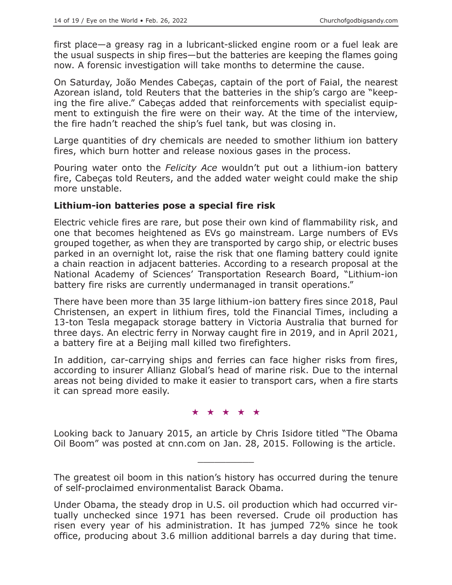first place—a greasy rag in a lubricant-slicked engine room or a fuel leak are the usual suspects in ship fires—but the batteries are keeping the flames going now. A forensic investigation will take months to determine the cause.

On Saturday, João Mendes Cabeças, captain of the port of Faial, the nearest Azorean island, told Reuters that the batteries in the ship's cargo are "keeping the fire alive." Cabeças added that reinforcements with specialist equipment to extinguish the fire were on their way. At the time of the interview, the fire hadn't reached the ship's fuel tank, but was closing in.

Large quantities of dry chemicals are needed to smother lithium ion battery fires, which burn hotter and release noxious gases in the process.

Pouring water onto the *Felicity Ace* wouldn't put out a lithium-ion battery fire, Cabeças told Reuters, and the added water weight could make the ship more unstable.

## **Lithium-ion batteries pose a special fire risk**

Electric vehicle fires are rare, but pose their own kind of flammability risk, and one that becomes heightened as EVs go mainstream. Large numbers of EVs grouped together, as when they are transported by cargo ship, or electric buses parked in an overnight lot, raise the risk that one flaming battery could ignite a chain reaction in adjacent batteries. According to a research proposal at the National Academy of Sciences' Transportation Research Board, "Lithium-ion battery fire risks are currently undermanaged in transit operations."

There have been more than 35 large lithium-ion battery fires since 2018, Paul Christensen, an expert in lithium fires, told the Financial Times, including a 13-ton Tesla megapack storage battery in Victoria Australia that burned for three days. An electric ferry in Norway caught fire in 2019, and in April 2021, a battery fire at a Beijing mall killed two firefighters.

In addition, car-carrying ships and ferries can face higher risks from fires, according to insurer Allianz Global's head of marine risk. Due to the internal areas not being divided to make it easier to transport cars, when a fire starts it can spread more easily.

## ★★★★★

Looking back to January 2015, an article by Chris Isidore titled "The Obama Oil Boom" was posted at cnn.com on Jan. 28, 2015. Following is the article.

 $\overline{\phantom{a}}$  , where  $\overline{\phantom{a}}$ 

The greatest oil boom in this nation's history has occurred during the tenure of self-proclaimed environmentalist Barack Obama.

Under Obama, the steady drop in U.S. oil production which had occurred virtually unchecked since 1971 has been reversed. Crude oil production has risen every year of his administration. It has jumped 72% since he took office, producing about 3.6 million additional barrels a day during that time.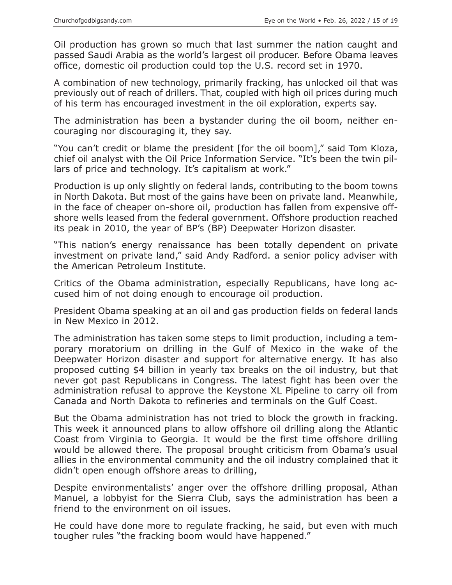Oil production has grown so much that last summer the nation caught and passed Saudi Arabia as the world's largest oil producer. Before Obama leaves office, domestic oil production could top the U.S. record set in 1970.

A combination of new technology, primarily fracking, has unlocked oil that was previously out of reach of drillers. That, coupled with high oil prices during much of his term has encouraged investment in the oil exploration, experts say.

The administration has been a bystander during the oil boom, neither encouraging nor discouraging it, they say.

"You can't credit or blame the president [for the oil boom]," said Tom Kloza, chief oil analyst with the Oil Price Information Service. "It's been the twin pillars of price and technology. It's capitalism at work."

Production is up only slightly on federal lands, contributing to the boom towns in North Dakota. But most of the gains have been on private land. Meanwhile, in the face of cheaper on-shore oil, production has fallen from expensive offshore wells leased from the federal government. Offshore production reached its peak in 2010, the year of BP's (BP) Deepwater Horizon disaster.

"This nation's energy renaissance has been totally dependent on private investment on private land," said Andy Radford. a senior policy adviser with the American Petroleum Institute.

Critics of the Obama administration, especially Republicans, have long accused him of not doing enough to encourage oil production.

President Obama speaking at an oil and gas production fields on federal lands in New Mexico in 2012.

The administration has taken some steps to limit production, including a temporary moratorium on drilling in the Gulf of Mexico in the wake of the Deepwater Horizon disaster and support for alternative energy. It has also proposed cutting \$4 billion in yearly tax breaks on the oil industry, but that never got past Republicans in Congress. The latest fight has been over the administration refusal to approve the Keystone XL Pipeline to carry oil from Canada and North Dakota to refineries and terminals on the Gulf Coast.

But the Obama administration has not tried to block the growth in fracking. This week it announced plans to allow offshore oil drilling along the Atlantic Coast from Virginia to Georgia. It would be the first time offshore drilling would be allowed there. The proposal brought criticism from Obama's usual allies in the environmental community and the oil industry complained that it didn't open enough offshore areas to drilling,

Despite environmentalists' anger over the offshore drilling proposal, Athan Manuel, a lobbyist for the Sierra Club, says the administration has been a friend to the environment on oil issues.

He could have done more to regulate fracking, he said, but even with much tougher rules "the fracking boom would have happened."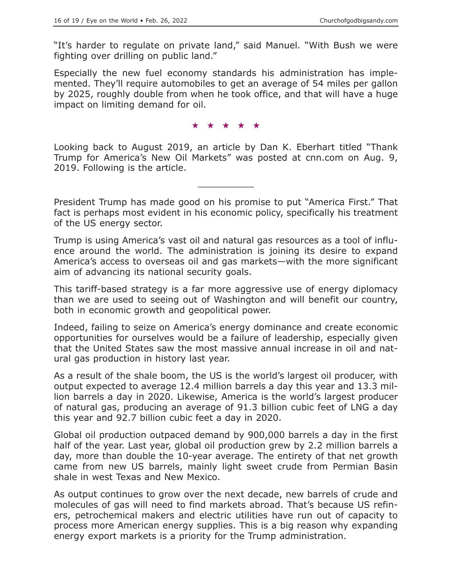"It's harder to regulate on private land," said Manuel. "With Bush we were fighting over drilling on public land."

Especially the new fuel economy standards his administration has implemented. They'll require automobiles to get an average of 54 miles per gallon by 2025, roughly double from when he took office, and that will have a huge impact on limiting demand for oil.

#### ★★★★★

Looking back to August 2019, an article by Dan K. Eberhart titled "Thank Trump for America's New Oil Markets" was posted at cnn.com on Aug. 9, 2019. Following is the article.

 $\overline{\phantom{a}}$  , where  $\overline{\phantom{a}}$ 

President Trump has made good on his promise to put "America First." That fact is perhaps most evident in his economic policy, specifically his treatment of the US energy sector.

Trump is using America's vast oil and natural gas resources as a tool of influence around the world. The administration is joining its desire to expand America's access to overseas oil and gas markets—with the more significant aim of advancing its national security goals.

This tariff-based strategy is a far more aggressive use of energy diplomacy than we are used to seeing out of Washington and will benefit our country, both in economic growth and geopolitical power.

Indeed, failing to seize on America's energy dominance and create economic opportunities for ourselves would be a failure of leadership, especially given that the United States saw the most massive annual increase in oil and natural gas production in history last year.

As a result of the shale boom, the US is the world's largest oil producer, with output expected to average 12.4 million barrels a day this year and 13.3 million barrels a day in 2020. Likewise, America is the world's largest producer of natural gas, producing an average of 91.3 billion cubic feet of LNG a day this year and 92.7 billion cubic feet a day in 2020.

Global oil production outpaced demand by 900,000 barrels a day in the first half of the year. Last year, global oil production grew by 2.2 million barrels a day, more than double the 10-year average. The entirety of that net growth came from new US barrels, mainly light sweet crude from Permian Basin shale in west Texas and New Mexico.

As output continues to grow over the next decade, new barrels of crude and molecules of gas will need to find markets abroad. That's because US refiners, petrochemical makers and electric utilities have run out of capacity to process more American energy supplies. This is a big reason why expanding energy export markets is a priority for the Trump administration.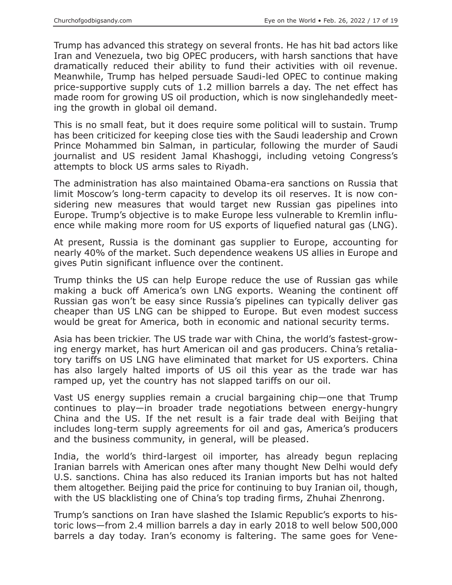Trump has advanced this strategy on several fronts. He has hit bad actors like Iran and Venezuela, two big OPEC producers, with harsh sanctions that have dramatically reduced their ability to fund their activities with oil revenue. Meanwhile, Trump has helped persuade Saudi-led OPEC to continue making price-supportive supply cuts of 1.2 million barrels a day. The net effect has made room for growing US oil production, which is now singlehandedly meeting the growth in global oil demand.

This is no small feat, but it does require some political will to sustain. Trump has been criticized for keeping close ties with the Saudi leadership and Crown Prince Mohammed bin Salman, in particular, following the murder of Saudi journalist and US resident Jamal Khashoggi, including vetoing Congress's attempts to block US arms sales to Riyadh.

The administration has also maintained Obama-era sanctions on Russia that limit Moscow's long-term capacity to develop its oil reserves. It is now considering new measures that would target new Russian gas pipelines into Europe. Trump's objective is to make Europe less vulnerable to Kremlin influence while making more room for US exports of liquefied natural gas (LNG).

At present, Russia is the dominant gas supplier to Europe, accounting for nearly 40% of the market. Such dependence weakens US allies in Europe and gives Putin significant influence over the continent.

Trump thinks the US can help Europe reduce the use of Russian gas while making a buck off America's own LNG exports. Weaning the continent off Russian gas won't be easy since Russia's pipelines can typically deliver gas cheaper than US LNG can be shipped to Europe. But even modest success would be great for America, both in economic and national security terms.

Asia has been trickier. The US trade war with China, the world's fastest-growing energy market, has hurt American oil and gas producers. China's retaliatory tariffs on US LNG have eliminated that market for US exporters. China has also largely halted imports of US oil this year as the trade war has ramped up, yet the country has not slapped tariffs on our oil.

Vast US energy supplies remain a crucial bargaining chip—one that Trump continues to play—in broader trade negotiations between energy-hungry China and the US. If the net result is a fair trade deal with Beijing that includes long-term supply agreements for oil and gas, America's producers and the business community, in general, will be pleased.

India, the world's third-largest oil importer, has already begun replacing Iranian barrels with American ones after many thought New Delhi would defy U.S. sanctions. China has also reduced its Iranian imports but has not halted them altogether. Beijing paid the price for continuing to buy Iranian oil, though, with the US blacklisting one of China's top trading firms, Zhuhai Zhenrong.

Trump's sanctions on Iran have slashed the Islamic Republic's exports to historic lows—from 2.4 million barrels a day in early 2018 to well below 500,000 barrels a day today. Iran's economy is faltering. The same goes for Vene-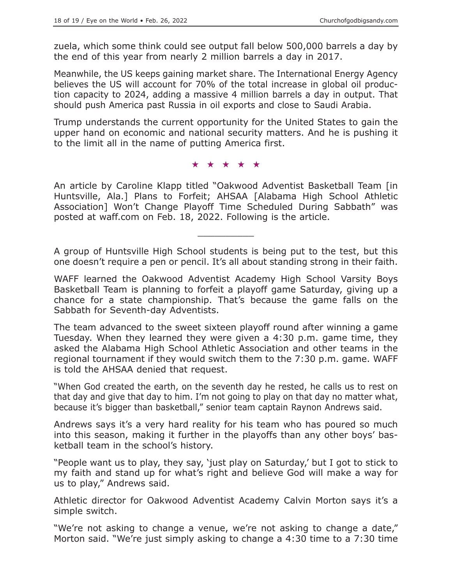zuela, which some think could see output fall below 500,000 barrels a day by the end of this year from nearly 2 million barrels a day in 2017.

Meanwhile, the US keeps gaining market share. The International Energy Agency believes the US will account for 70% of the total increase in global oil production capacity to 2024, adding a massive 4 million barrels a day in output. That should push America past Russia in oil exports and close to Saudi Arabia.

Trump understands the current opportunity for the United States to gain the upper hand on economic and national security matters. And he is pushing it to the limit all in the name of putting America first.

★★★★★

An article by Caroline Klapp titled "Oakwood Adventist Basketball Team [in Huntsville, Ala.] Plans to Forfeit; AHSAA [Alabama High School Athletic Association] Won't Change Playoff Time Scheduled During Sabbath" was posted at waff.com on Feb. 18, 2022. Following is the article.

A group of Huntsville High School students is being put to the test, but this one doesn't require a pen or pencil. It's all about standing strong in their faith.

 $\overline{\phantom{a}}$  , where  $\overline{\phantom{a}}$ 

WAFF learned the Oakwood Adventist Academy High School Varsity Boys Basketball Team is planning to forfeit a playoff game Saturday, giving up a chance for a state championship. That's because the game falls on the Sabbath for Seventh-day Adventists.

The team advanced to the sweet sixteen playoff round after winning a game Tuesday. When they learned they were given a 4:30 p.m. game time, they asked the Alabama High School Athletic Association and other teams in the regional tournament if they would switch them to the 7:30 p.m. game. WAFF is told the AHSAA denied that request.

"When God created the earth, on the seventh day he rested, he calls us to rest on that day and give that day to him. I'm not going to play on that day no matter what, because it's bigger than basketball," senior team captain Raynon Andrews said.

Andrews says it's a very hard reality for his team who has poured so much into this season, making it further in the playoffs than any other boys' basketball team in the school's history.

"People want us to play, they say, 'just play on Saturday,' but I got to stick to my faith and stand up for what's right and believe God will make a way for us to play," Andrews said.

Athletic director for Oakwood Adventist Academy Calvin Morton says it's a simple switch.

"We're not asking to change a venue, we're not asking to change a date," Morton said. "We're just simply asking to change a 4:30 time to a 7:30 time